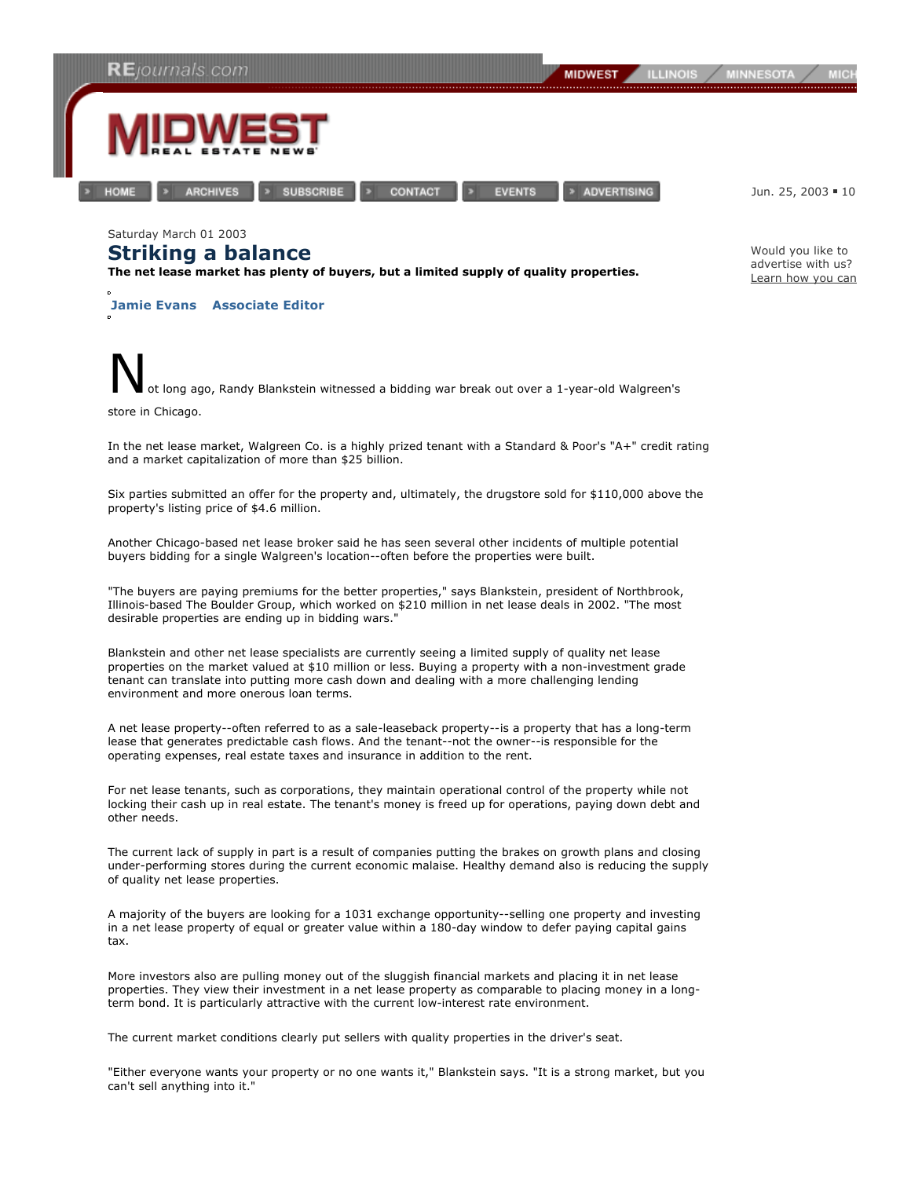

**ARCHIVES** 

**HOME** 

**SUBSCRIBE** 

**EVENTS** 

> ADVERTISING

Jun. 25, 2003 · 10

Would you like to advertise with us? Learn how you can.

Saturday March 01 2003 **Striking a balance**

**The net lease market has plenty of buyers, but a limited supply of quality properties.**

**Jamie Evans Associate Editor**



CONTACT

In the net lease market, Walgreen Co. is a highly prized tenant with a Standard & Poor's "A+" credit rating and a market capitalization of more than \$25 billion.

Six parties submitted an offer for the property and, ultimately, the drugstore sold for \$110,000 above the property's listing price of \$4.6 million.

Another Chicago-based net lease broker said he has seen several other incidents of multiple potential buyers bidding for a single Walgreen's location--often before the properties were built.

"The buyers are paying premiums for the better properties," says Blankstein, president of Northbrook, Illinois-based The Boulder Group, which worked on \$210 million in net lease deals in 2002. "The most desirable properties are ending up in bidding wars."

Blankstein and other net lease specialists are currently seeing a limited supply of quality net lease properties on the market valued at \$10 million or less. Buying a property with a non-investment grade tenant can translate into putting more cash down and dealing with a more challenging lending environment and more onerous loan terms.

A net lease property--often referred to as a sale-leaseback property--is a property that has a long-term lease that generates predictable cash flows. And the tenant--not the owner--is responsible for the operating expenses, real estate taxes and insurance in addition to the rent.

For net lease tenants, such as corporations, they maintain operational control of the property while not locking their cash up in real estate. The tenant's money is freed up for operations, paying down debt and other needs.

The current lack of supply in part is a result of companies putting the brakes on growth plans and closing under-performing stores during the current economic malaise. Healthy demand also is reducing the supply of quality net lease properties.

A majority of the buyers are looking for a 1031 exchange opportunity--selling one property and investing in a net lease property of equal or greater value within a 180-day window to defer paying capital gains tax.

More investors also are pulling money out of the sluggish financial markets and placing it in net lease properties. They view their investment in a net lease property as comparable to placing money in a longterm bond. It is particularly attractive with the current low-interest rate environment.

The current market conditions clearly put sellers with quality properties in the driver's seat.

"Either everyone wants your property or no one wants it," Blankstein says. "It is a strong market, but you can't sell anything into it."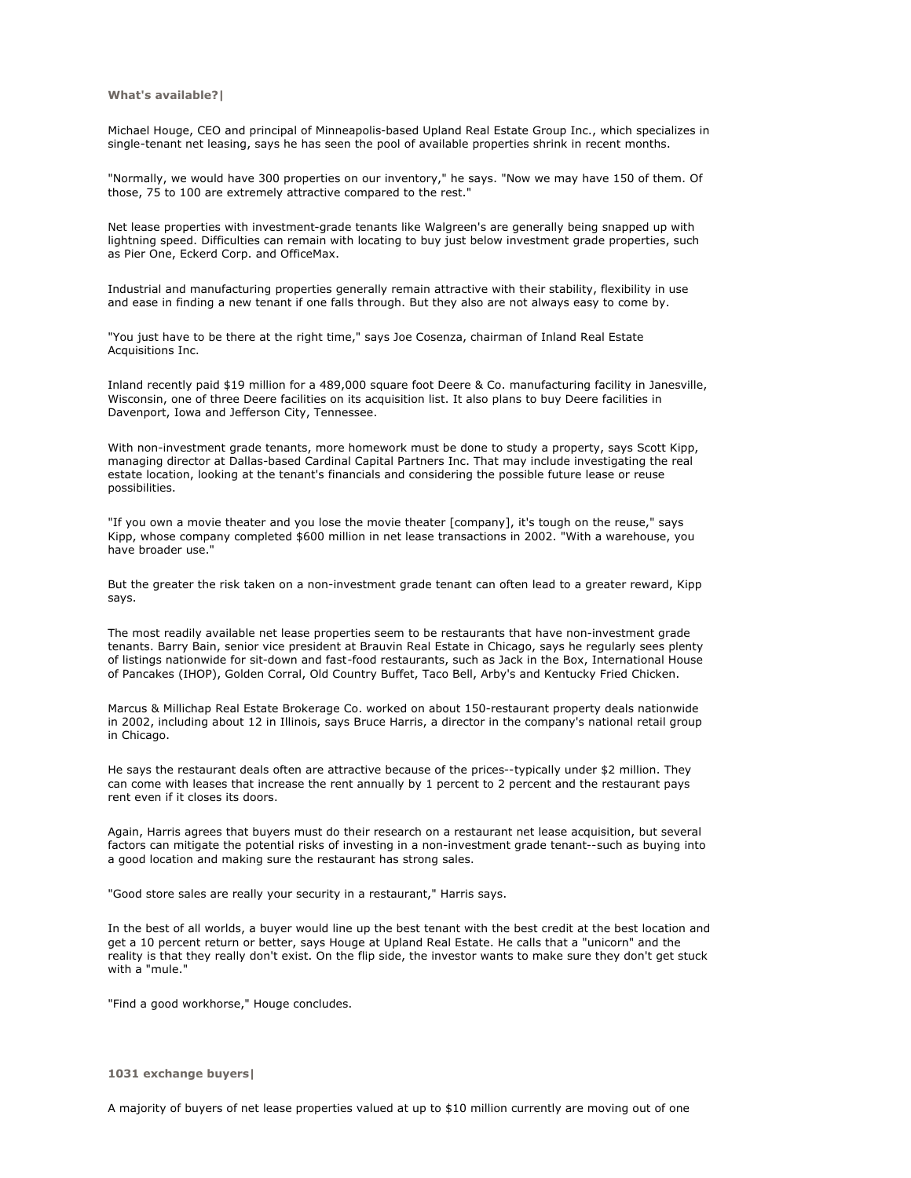**What's available?|**

Michael Houge, CEO and principal of Minneapolis-based Upland Real Estate Group Inc., which specializes in single-tenant net leasing, says he has seen the pool of available properties shrink in recent months.

"Normally, we would have 300 properties on our inventory," he says. "Now we may have 150 of them. Of those, 75 to 100 are extremely attractive compared to the rest."

Net lease properties with investment-grade tenants like Walgreen's are generally being snapped up with lightning speed. Difficulties can remain with locating to buy just below investment grade properties, such as Pier One, Eckerd Corp. and OfficeMax.

Industrial and manufacturing properties generally remain attractive with their stability, flexibility in use and ease in finding a new tenant if one falls through. But they also are not always easy to come by.

"You just have to be there at the right time," says Joe Cosenza, chairman of Inland Real Estate Acquisitions Inc.

Inland recently paid \$19 million for a 489,000 square foot Deere & Co. manufacturing facility in Janesville, Wisconsin, one of three Deere facilities on its acquisition list. It also plans to buy Deere facilities in Davenport, Iowa and Jefferson City, Tennessee.

With non-investment grade tenants, more homework must be done to study a property, says Scott Kipp, managing director at Dallas-based Cardinal Capital Partners Inc. That may include investigating the real estate location, looking at the tenant's financials and considering the possible future lease or reuse possibilities.

"If you own a movie theater and you lose the movie theater [company], it's tough on the reuse," says Kipp, whose company completed \$600 million in net lease transactions in 2002. "With a warehouse, you have broader use."

But the greater the risk taken on a non-investment grade tenant can often lead to a greater reward, Kipp says.

The most readily available net lease properties seem to be restaurants that have non-investment grade tenants. Barry Bain, senior vice president at Brauvin Real Estate in Chicago, says he regularly sees plenty of listings nationwide for sit-down and fast-food restaurants, such as Jack in the Box, International House of Pancakes (IHOP), Golden Corral, Old Country Buffet, Taco Bell, Arby's and Kentucky Fried Chicken.

Marcus & Millichap Real Estate Brokerage Co. worked on about 150-restaurant property deals nationwide in 2002, including about 12 in Illinois, says Bruce Harris, a director in the company's national retail group in Chicago.

He says the restaurant deals often are attractive because of the prices--typically under \$2 million. They can come with leases that increase the rent annually by 1 percent to 2 percent and the restaurant pays rent even if it closes its doors.

Again, Harris agrees that buyers must do their research on a restaurant net lease acquisition, but several factors can mitigate the potential risks of investing in a non-investment grade tenant--such as buying into a good location and making sure the restaurant has strong sales.

"Good store sales are really your security in a restaurant," Harris says.

In the best of all worlds, a buyer would line up the best tenant with the best credit at the best location and get a 10 percent return or better, says Houge at Upland Real Estate. He calls that a "unicorn" and the reality is that they really don't exist. On the flip side, the investor wants to make sure they don't get stuck with a "mule."

"Find a good workhorse," Houge concludes.

## **1031 exchange buyers|**

A majority of buyers of net lease properties valued at up to \$10 million currently are moving out of one